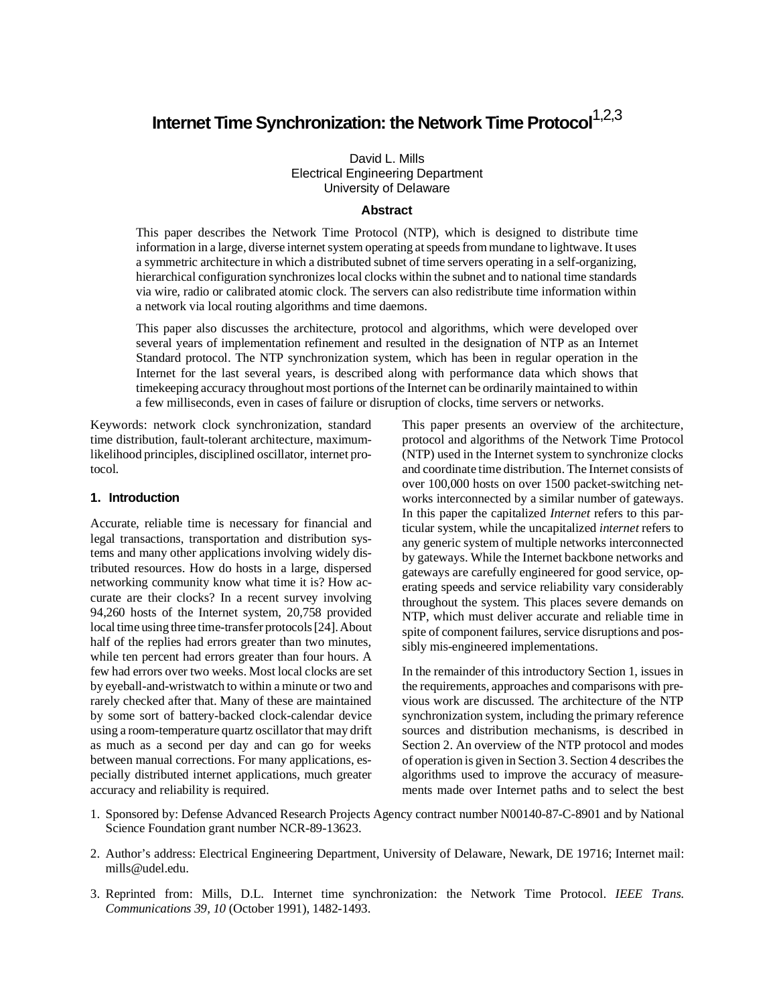# **Internet Time Synchronization: the Network Time Protocol**<sup>1,2,3</sup>

David L. Mills Electrical Engineering Department University of Delaware

## **Abstract**

This paper describes the Network Time Protocol (NTP), which is designed to distribute time information in a large, diverse internet system operating at speeds from mundane to lightwave. It uses a symmetric architecture in which a distributed subnet of time servers operating in a self-organizing, hierarchical configuration synchronizes local clocks within the subnet and to national time standards via wire, radio or calibrated atomic clock. The servers can also redistribute time information within a network via local routing algorithms and time daemons.

This paper also discusses the architecture, protocol and algorithms, which were developed over several years of implementation refinement and resulted in the designation of NTP as an Internet Standard protocol. The NTP synchronization system, which has been in regular operation in the Internet for the last several years, is described along with performance data which shows that timekeeping accuracy throughout most portions of the Internet can be ordinarily maintained to within a few milliseconds, even in cases of failure or disruption of clocks, time servers or networks.

Keywords: network clock synchronization, standard time distribution, fault-tolerant architecture, maximumlikelihood principles, disciplined oscillator, internet protocol.

#### **1. Introduction**

Accurate, reliable time is necessary for financial and legal transactions, transportation and distribution systems and many other applications involving widely distributed resources. How do hosts in a large, dispersed networking community know what time it is? How accurate are their clocks? In a recent survey involving 94,260 hosts of the Internet system, 20,758 provided local time using three time-transfer protocols [24]. About half of the replies had errors greater than two minutes, while ten percent had errors greater than four hours. A few had errors over two weeks. Most local clocks are set by eyeball-and-wristwatch to within a minute or two and rarely checked after that. Many of these are maintained by some sort of battery-backed clock-calendar device using a room-temperature quartz oscillator that may drift as much as a second per day and can go for weeks between manual corrections. For many applications, especially distributed internet applications, much greater accuracy and reliability is required.

This paper presents an overview of the architecture, protocol and algorithms of the Network Time Protocol (NTP) used in the Internet system to synchronize clocks and coordinate time distribution. The Internet consists of over 100,000 hosts on over 1500 packet-switching networks interconnected by a similar number of gateways. In this paper the capitalized *Internet* refers to this particular system, while the uncapitalized *internet* refers to any generic system of multiple networks interconnected by gateways. While the Internet backbone networks and gateways are carefully engineered for good service, operating speeds and service reliability vary considerably throughout the system. This places severe demands on NTP, which must deliver accurate and reliable time in spite of component failures, service disruptions and possibly mis-engineered implementations.

In the remainder of this introductory Section 1, issues in the requirements, approaches and comparisons with previous work are discussed. The architecture of the NTP synchronization system, including the primary reference sources and distribution mechanisms, is described in Section 2. An overview of the NTP protocol and modes of operation is given in Section 3. Section 4 describes the algorithms used to improve the accuracy of measurements made over Internet paths and to select the best

- 1. Sponsored by: Defense Advanced Research Projects Agency contract number N00140-87-C-8901 and by National Science Foundation grant number NCR-89-13623.
- 2. Author's address: Electrical Engineering Department, University of Delaware, Newark, DE 19716; Internet mail: mills@udel.edu.
- 3. Reprinted from: Mills, D.L. Internet time synchronization: the Network Time Protocol. *IEEE Trans. Communications 39, 10* (October 1991), 1482-1493.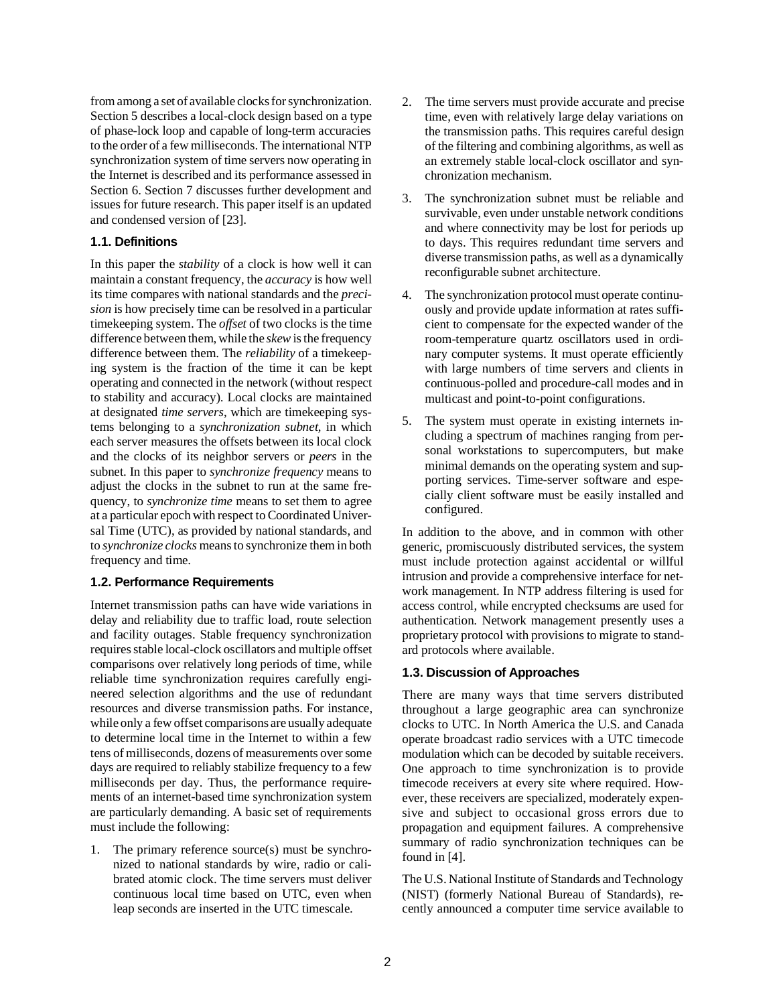from among a set of available clocks for synchronization. Section 5 describes a local-clock design based on a type of phase-lock loop and capable of long-term accuracies to the order of a few milliseconds. The international NTP synchronization system of time servers now operating in the Internet is described and its performance assessed in Section 6. Section 7 discusses further development and issues for future research. This paper itself is an updated and condensed version of [23].

# **1.1. Definitions**

In this paper the *stability* of a clock is how well it can maintain a constant frequency, the *accuracy* is how well its time compares with national standards and the *precision* is how precisely time can be resolved in a particular timekeeping system. The *offset* of two clocks is the time difference between them, while the *skew* is the frequency difference between them. The *reliability* of a timekeeping system is the fraction of the time it can be kept operating and connected in the network (without respect to stability and accuracy). Local clocks are maintained at designated *time servers*, which are timekeeping systems belonging to a *synchronization subnet*, in which each server measures the offsets between its local clock and the clocks of its neighbor servers or *peers* in the subnet. In this paper to *synchronize frequency* means to adjust the clocks in the subnet to run at the same frequency, to *synchronize time* means to set them to agree at a particular epoch with respect to Coordinated Universal Time (UTC), as provided by national standards, and to *synchronize clocks* means to synchronize them in both frequency and time.

## **1.2. Performance Requirements**

Internet transmission paths can have wide variations in delay and reliability due to traffic load, route selection and facility outages. Stable frequency synchronization requires stable local-clock oscillators and multiple offset comparisons over relatively long periods of time, while reliable time synchronization requires carefully engineered selection algorithms and the use of redundant resources and diverse transmission paths. For instance, while only a few offset comparisons are usually adequate to determine local time in the Internet to within a few tens of milliseconds, dozens of measurements over some days are required to reliably stabilize frequency to a few milliseconds per day. Thus, the performance requirements of an internet-based time synchronization system are particularly demanding. A basic set of requirements must include the following:

1. The primary reference source(s) must be synchronized to national standards by wire, radio or calibrated atomic clock. The time servers must deliver continuous local time based on UTC, even when leap seconds are inserted in the UTC timescale.

- 2. The time servers must provide accurate and precise time, even with relatively large delay variations on the transmission paths. This requires careful design of the filtering and combining algorithms, as well as an extremely stable local-clock oscillator and synchronization mechanism.
- 3. The synchronization subnet must be reliable and survivable, even under unstable network conditions and where connectivity may be lost for periods up to days. This requires redundant time servers and diverse transmission paths, as well as a dynamically reconfigurable subnet architecture.
- 4. The synchronization protocol must operate continuously and provide update information at rates sufficient to compensate for the expected wander of the room-temperature quartz oscillators used in ordinary computer systems. It must operate efficiently with large numbers of time servers and clients in continuous-polled and procedure-call modes and in multicast and point-to-point configurations.
- 5. The system must operate in existing internets including a spectrum of machines ranging from personal workstations to supercomputers, but make minimal demands on the operating system and supporting services. Time-server software and especially client software must be easily installed and configured.

In addition to the above, and in common with other generic, promiscuously distributed services, the system must include protection against accidental or willful intrusion and provide a comprehensive interface for network management. In NTP address filtering is used for access control, while encrypted checksums are used for authentication. Network management presently uses a proprietary protocol with provisions to migrate to standard protocols where available.

## **1.3. Discussion of Approaches**

There are many ways that time servers distributed throughout a large geographic area can synchronize clocks to UTC. In North America the U.S. and Canada operate broadcast radio services with a UTC timecode modulation which can be decoded by suitable receivers. One approach to time synchronization is to provide timecode receivers at every site where required. However, these receivers are specialized, moderately expensive and subject to occasional gross errors due to propagation and equipment failures. A comprehensive summary of radio synchronization techniques can be found in [4].

The U.S. National Institute of Standards and Technology (NIST) (formerly National Bureau of Standards), recently announced a computer time service available to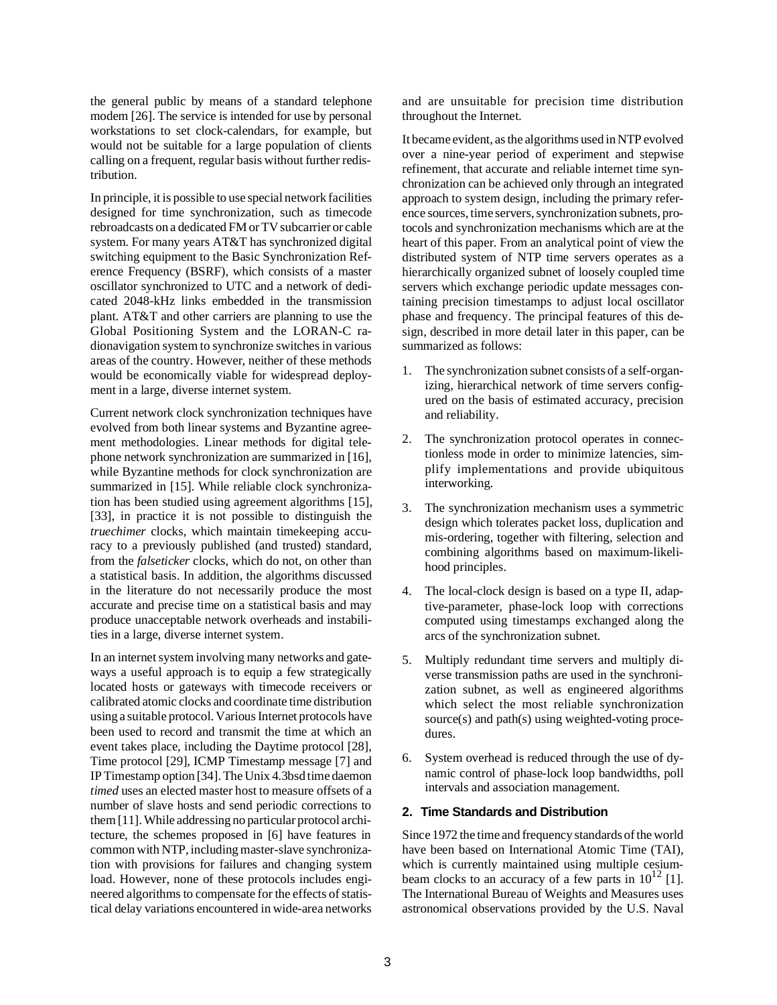the general public by means of a standard telephone modem [26]. The service is intended for use by personal workstations to set clock-calendars, for example, but would not be suitable for a large population of clients calling on a frequent, regular basis without further redistribution.

In principle, it is possible to use special network facilities designed for time synchronization, such as timecode rebroadcasts on a dedicated FM or TV subcarrier or cable system. For many years AT&T has synchronized digital switching equipment to the Basic Synchronization Reference Frequency (BSRF), which consists of a master oscillator synchronized to UTC and a network of dedicated 2048-kHz links embedded in the transmission plant. AT&T and other carriers are planning to use the Global Positioning System and the LORAN-C radionavigation system to synchronize switches in various areas of the country. However, neither of these methods would be economically viable for widespread deployment in a large, diverse internet system.

Current network clock synchronization techniques have evolved from both linear systems and Byzantine agreement methodologies. Linear methods for digital telephone network synchronization are summarized in [16], while Byzantine methods for clock synchronization are summarized in [15]. While reliable clock synchronization has been studied using agreement algorithms [15], [33], in practice it is not possible to distinguish the *truechimer* clocks, which maintain timekeeping accuracy to a previously published (and trusted) standard, from the *falseticker* clocks, which do not, on other than a statistical basis. In addition, the algorithms discussed in the literature do not necessarily produce the most accurate and precise time on a statistical basis and may produce unacceptable network overheads and instabilities in a large, diverse internet system.

In an internet system involving many networks and gateways a useful approach is to equip a few strategically located hosts or gateways with timecode receivers or calibrated atomic clocks and coordinate time distribution using a suitable protocol. Various Internet protocols have been used to record and transmit the time at which an event takes place, including the Daytime protocol [28], Time protocol [29], ICMP Timestamp message [7] and IP Timestamp option [34]. The Unix 4.3bsd time daemon *timed* uses an elected master host to measure offsets of a number of slave hosts and send periodic corrections to them [11]. While addressing no particular protocol architecture, the schemes proposed in [6] have features in common with NTP, including master-slave synchronization with provisions for failures and changing system load. However, none of these protocols includes engineered algorithms to compensate for the effects of statistical delay variations encountered in wide-area networks and are unsuitable for precision time distribution throughout the Internet.

It became evident, as the algorithms used in NTP evolved over a nine-year period of experiment and stepwise refinement, that accurate and reliable internet time synchronization can be achieved only through an integrated approach to system design, including the primary reference sources, time servers, synchronization subnets, protocols and synchronization mechanisms which are at the heart of this paper. From an analytical point of view the distributed system of NTP time servers operates as a hierarchically organized subnet of loosely coupled time servers which exchange periodic update messages containing precision timestamps to adjust local oscillator phase and frequency. The principal features of this design, described in more detail later in this paper, can be summarized as follows:

- 1. The synchronization subnet consists of a self-organizing, hierarchical network of time servers configured on the basis of estimated accuracy, precision and reliability.
- 2. The synchronization protocol operates in connectionless mode in order to minimize latencies, simplify implementations and provide ubiquitous interworking.
- 3. The synchronization mechanism uses a symmetric design which tolerates packet loss, duplication and mis-ordering, together with filtering, selection and combining algorithms based on maximum-likelihood principles.
- 4. The local-clock design is based on a type II, adaptive-parameter, phase-lock loop with corrections computed using timestamps exchanged along the arcs of the synchronization subnet.
- 5. Multiply redundant time servers and multiply diverse transmission paths are used in the synchronization subnet, as well as engineered algorithms which select the most reliable synchronization source(s) and path(s) using weighted-voting procedures.
- 6. System overhead is reduced through the use of dynamic control of phase-lock loop bandwidths, poll intervals and association management.

## **2. Time Standards and Distribution**

Since 1972 the time and frequency standards of the world have been based on International Atomic Time (TAI), which is currently maintained using multiple cesiumbeam clocks to an accuracy of a few parts in  $10^{12}$  [1]. The International Bureau of Weights and Measures uses astronomical observations provided by the U.S. Naval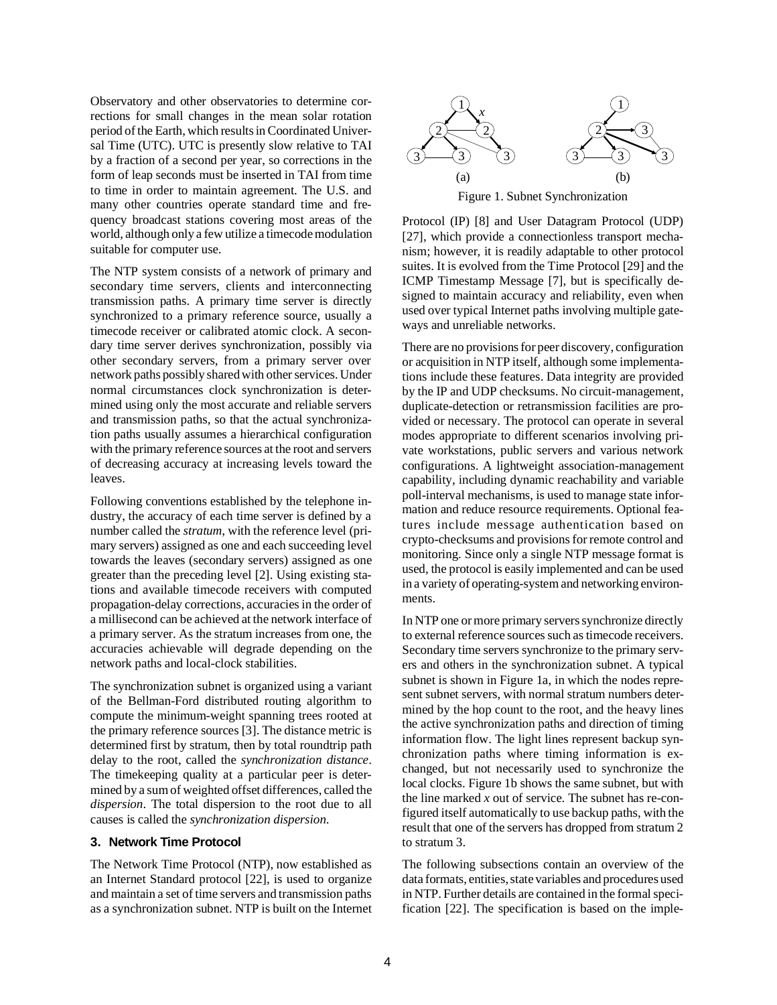Observatory and other observatories to determine corrections for small changes in the mean solar rotation period of the Earth, which results in Coordinated Universal Time (UTC). UTC is presently slow relative to TAI by a fraction of a second per year, so corrections in the form of leap seconds must be inserted in TAI from time to time in order to maintain agreement. The U.S. and many other countries operate standard time and frequency broadcast stations covering most areas of the world, although only a few utilize a timecode modulation suitable for computer use.

The NTP system consists of a network of primary and secondary time servers, clients and interconnecting transmission paths. A primary time server is directly synchronized to a primary reference source, usually a timecode receiver or calibrated atomic clock. A secondary time server derives synchronization, possibly via other secondary servers, from a primary server over network paths possibly shared with other services. Under normal circumstances clock synchronization is determined using only the most accurate and reliable servers and transmission paths, so that the actual synchronization paths usually assumes a hierarchical configuration with the primary reference sources at the root and servers of decreasing accuracy at increasing levels toward the leaves.

Following conventions established by the telephone industry, the accuracy of each time server is defined by a number called the *stratum*, with the reference level (primary servers) assigned as one and each succeeding level towards the leaves (secondary servers) assigned as one greater than the preceding level [2]. Using existing stations and available timecode receivers with computed propagation-delay corrections, accuracies in the order of a millisecond can be achieved at the network interface of a primary server. As the stratum increases from one, the accuracies achievable will degrade depending on the network paths and local-clock stabilities.

The synchronization subnet is organized using a variant of the Bellman-Ford distributed routing algorithm to compute the minimum-weight spanning trees rooted at the primary reference sources [3]. The distance metric is determined first by stratum, then by total roundtrip path delay to the root, called the *synchronization distance*. The timekeeping quality at a particular peer is determined by a sum of weighted offset differences, called the *dispersion*. The total dispersion to the root due to all causes is called the *synchronization dispersion*.

# **3. Network Time Protocol**

The Network Time Protocol (NTP), now established as an Internet Standard protocol [22], is used to organize and maintain a set of time servers and transmission paths as a synchronization subnet. NTP is built on the Internet



Protocol (IP) [8] and User Datagram Protocol (UDP) [27], which provide a connectionless transport mechanism; however, it is readily adaptable to other protocol suites. It is evolved from the Time Protocol [29] and the ICMP Timestamp Message [7], but is specifically designed to maintain accuracy and reliability, even when used over typical Internet paths involving multiple gateways and unreliable networks.

There are no provisions for peer discovery, configuration or acquisition in NTP itself, although some implementations include these features. Data integrity are provided by the IP and UDP checksums. No circuit-management, duplicate-detection or retransmission facilities are provided or necessary. The protocol can operate in several modes appropriate to different scenarios involving private workstations, public servers and various network configurations. A lightweight association-management capability, including dynamic reachability and variable poll-interval mechanisms, is used to manage state information and reduce resource requirements. Optional features include message authentication based on crypto-checksums and provisions for remote control and monitoring. Since only a single NTP message format is used, the protocol is easily implemented and can be used in a variety of operating-system and networking environments.

In NTP one or more primary servers synchronize directly to external reference sources such as timecode receivers. Secondary time servers synchronize to the primary servers and others in the synchronization subnet. A typical subnet is shown in Figure 1a, in which the nodes represent subnet servers, with normal stratum numbers determined by the hop count to the root, and the heavy lines the active synchronization paths and direction of timing information flow. The light lines represent backup synchronization paths where timing information is exchanged, but not necessarily used to synchronize the local clocks. Figure 1b shows the same subnet, but with the line marked *x* out of service. The subnet has re-configured itself automatically to use backup paths, with the result that one of the servers has dropped from stratum 2 to stratum 3.

The following subsections contain an overview of the data formats, entities, state variables and procedures used in NTP. Further details are contained in the formal specification [22]. The specification is based on the imple-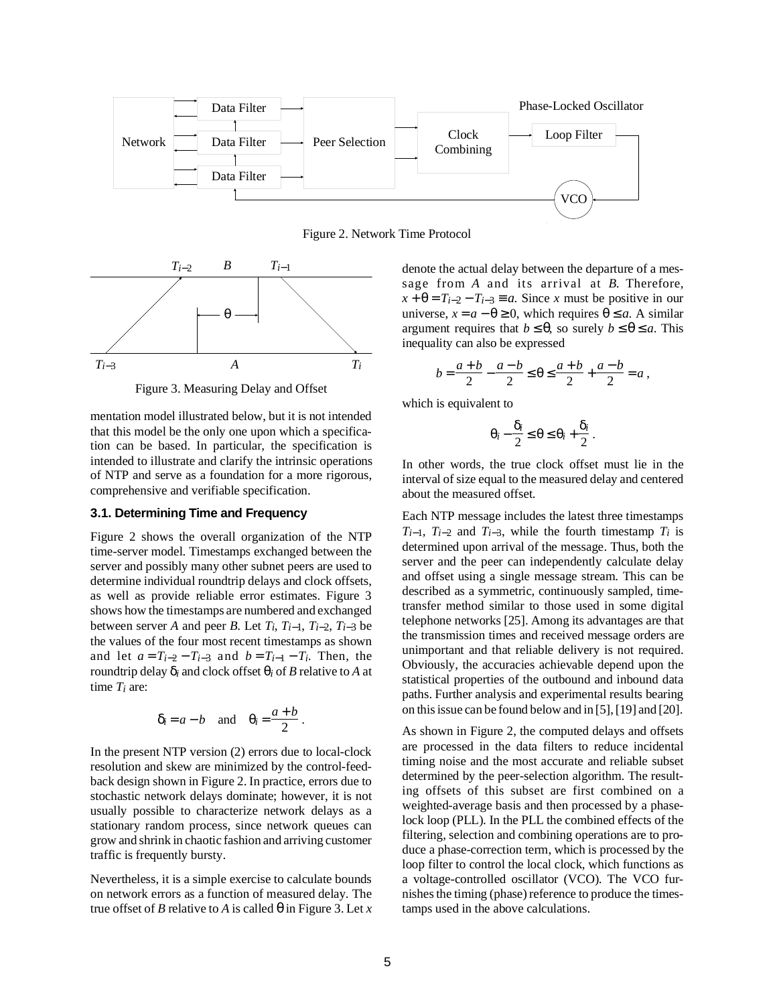

Figure 2. Network Time Protocol



Figure 3. Measuring Delay and Offset

mentation model illustrated below, but it is not intended that this model be the only one upon which a specification can be based. In particular, the specification is intended to illustrate and clarify the intrinsic operations of NTP and serve as a foundation for a more rigorous, comprehensive and verifiable specification.

#### **3.1. Determining Time and Frequency**

Figure 2 shows the overall organization of the NTP time-server model. Timestamps exchanged between the server and possibly many other subnet peers are used to determine individual roundtrip delays and clock offsets, as well as provide reliable error estimates. Figure 3 shows how the timestamps are numbered and exchanged between server *A* and peer *B*. Let  $T_i$ ,  $T_{i-1}$ ,  $T_{i-2}$ ,  $T_{i-3}$  be the values of the four most recent timestamps as shown and let  $a = T_{i-2} - T_{i-3}$  and  $b = T_{i-1} - T_i$ . Then, the roundtrip delay δ*i* and clock offset θ*i* of *B* relative to *A* at time *Ti* are:

$$
\delta_i = a - b
$$
 and  $\theta_i = \frac{a+b}{2}$ .

In the present NTP version (2) errors due to local-clock resolution and skew are minimized by the control-feedback design shown in Figure 2. In practice, errors due to stochastic network delays dominate; however, it is not usually possible to characterize network delays as a stationary random process, since network queues can grow and shrink in chaotic fashion and arriving customer traffic is frequently bursty.

Nevertheless, it is a simple exercise to calculate bounds on network errors as a function of measured delay. The true offset of *B* relative to *A* is called  $\theta$  in Figure 3. Let *x*  denote the actual delay between the departure of a message from *A* and its arrival at *B*. Therefore,  $x + \theta = T_{i-2} - T_{i-3} \equiv a$ . Since *x* must be positive in our universe,  $x = a - \theta \ge 0$ , which requires  $\theta \le a$ . A similar argument requires that  $b \leq \theta$ , so surely  $b \leq \theta \leq a$ . This inequality can also be expressed

$$
b = \frac{a+b}{2} - \frac{a-b}{2} \le \theta \le \frac{a+b}{2} + \frac{a-b}{2} = a,
$$

which is equivalent to

$$
\theta_i - \frac{\delta_i}{2} \le \theta \le \theta_i + \frac{\delta_i}{2} \; .
$$

In other words, the true clock offset must lie in the interval of size equal to the measured delay and centered about the measured offset.

Each NTP message includes the latest three timestamps  $T_{i-1}$ ,  $T_{i-2}$  and  $T_{i-3}$ , while the fourth timestamp  $T_i$  is determined upon arrival of the message. Thus, both the server and the peer can independently calculate delay and offset using a single message stream. This can be described as a symmetric, continuously sampled, timetransfer method similar to those used in some digital telephone networks [25]. Among its advantages are that the transmission times and received message orders are unimportant and that reliable delivery is not required. Obviously, the accuracies achievable depend upon the statistical properties of the outbound and inbound data paths. Further analysis and experimental results bearing on this issue can be found below and in [5], [19] and [20].

As shown in Figure 2, the computed delays and offsets are processed in the data filters to reduce incidental timing noise and the most accurate and reliable subset determined by the peer-selection algorithm. The resulting offsets of this subset are first combined on a weighted-average basis and then processed by a phaselock loop (PLL). In the PLL the combined effects of the filtering, selection and combining operations are to produce a phase-correction term, which is processed by the loop filter to control the local clock, which functions as a voltage-controlled oscillator (VCO). The VCO furnishes the timing (phase) reference to produce the timestamps used in the above calculations.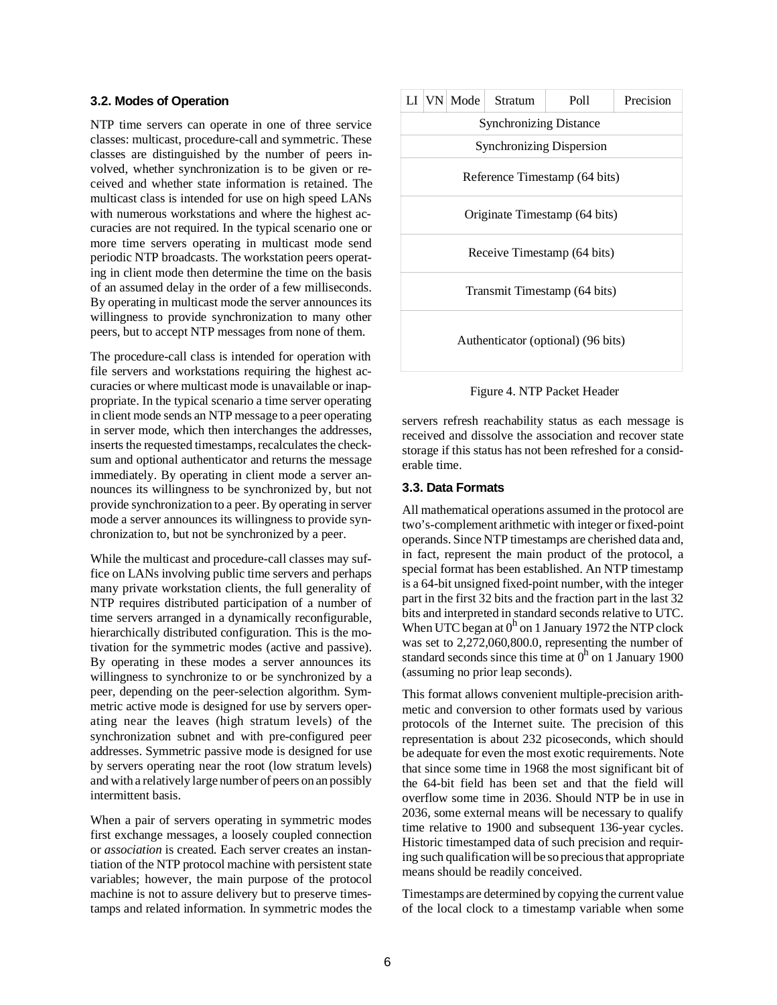## **3.2. Modes of Operation**

NTP time servers can operate in one of three service classes: multicast, procedure-call and symmetric. These classes are distinguished by the number of peers involved, whether synchronization is to be given or received and whether state information is retained. The multicast class is intended for use on high speed LANs with numerous workstations and where the highest accuracies are not required. In the typical scenario one or more time servers operating in multicast mode send periodic NTP broadcasts. The workstation peers operating in client mode then determine the time on the basis of an assumed delay in the order of a few milliseconds. By operating in multicast mode the server announces its willingness to provide synchronization to many other peers, but to accept NTP messages from none of them.

The procedure-call class is intended for operation with file servers and workstations requiring the highest accuracies or where multicast mode is unavailable or inappropriate. In the typical scenario a time server operating in client mode sends an NTP message to a peer operating in server mode, which then interchanges the addresses, inserts the requested timestamps, recalculates the checksum and optional authenticator and returns the message immediately. By operating in client mode a server announces its willingness to be synchronized by, but not provide synchronization to a peer. By operating in server mode a server announces its willingness to provide synchronization to, but not be synchronized by a peer.

While the multicast and procedure-call classes may suffice on LANs involving public time servers and perhaps many private workstation clients, the full generality of NTP requires distributed participation of a number of time servers arranged in a dynamically reconfigurable, hierarchically distributed configuration. This is the motivation for the symmetric modes (active and passive). By operating in these modes a server announces its willingness to synchronize to or be synchronized by a peer, depending on the peer-selection algorithm. Symmetric active mode is designed for use by servers operating near the leaves (high stratum levels) of the synchronization subnet and with pre-configured peer addresses. Symmetric passive mode is designed for use by servers operating near the root (low stratum levels) and with a relatively large number of peers on an possibly intermittent basis.

When a pair of servers operating in symmetric modes first exchange messages, a loosely coupled connection or *association* is created. Each server creates an instantiation of the NTP protocol machine with persistent state variables; however, the main purpose of the protocol machine is not to assure delivery but to preserve timestamps and related information. In symmetric modes the



# Figure 4. NTP Packet Header

servers refresh reachability status as each message is received and dissolve the association and recover state storage if this status has not been refreshed for a considerable time.

# **3.3. Data Formats**

All mathematical operations assumed in the protocol are two's-complement arithmetic with integer or fixed-point operands. Since NTP timestamps are cherished data and, in fact, represent the main product of the protocol, a special format has been established. An NTP timestamp is a 64-bit unsigned fixed-point number, with the integer part in the first 32 bits and the fraction part in the last 32 bits and interpreted in standard seconds relative to UTC. When UTC began at  $0<sup>h</sup>$  on 1 January 1972 the NTP clock was set to 2,272,060,800.0, representing the number of standard seconds since this time at  $0<sup>h</sup>$  on 1 January 1900 (assuming no prior leap seconds).

This format allows convenient multiple-precision arithmetic and conversion to other formats used by various protocols of the Internet suite. The precision of this representation is about 232 picoseconds, which should be adequate for even the most exotic requirements. Note that since some time in 1968 the most significant bit of the 64-bit field has been set and that the field will overflow some time in 2036. Should NTP be in use in 2036, some external means will be necessary to qualify time relative to 1900 and subsequent 136-year cycles. Historic timestamped data of such precision and requiring such qualification will be so precious that appropriate means should be readily conceived.

Timestamps are determined by copying the current value of the local clock to a timestamp variable when some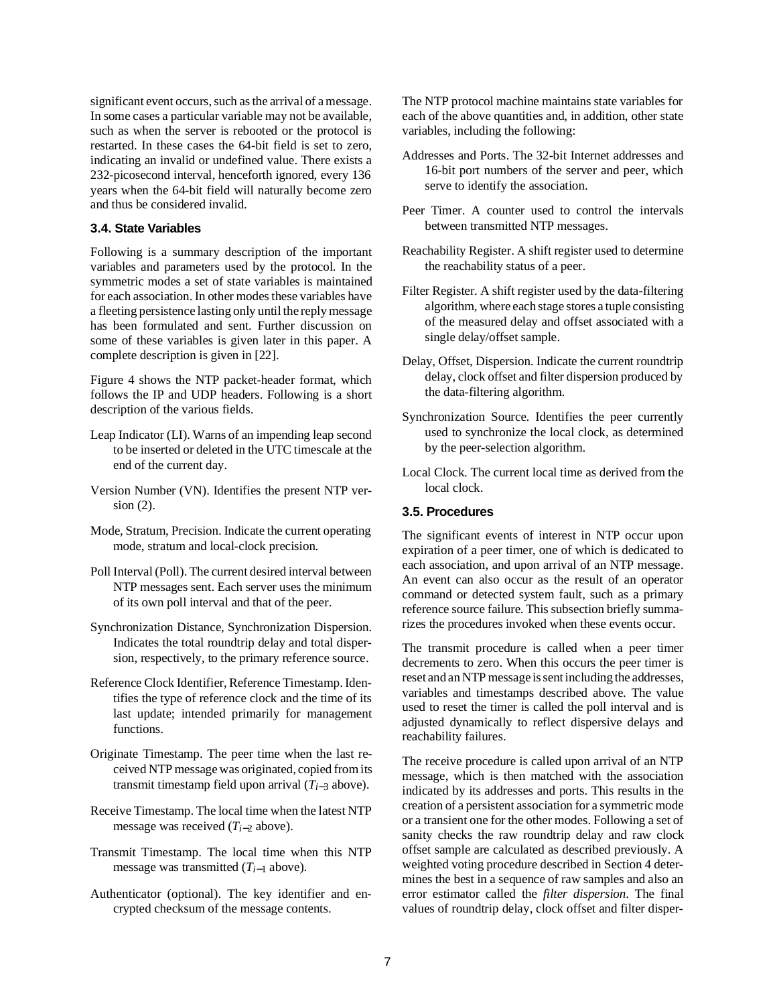significant event occurs, such as the arrival of a message. In some cases a particular variable may not be available, such as when the server is rebooted or the protocol is restarted. In these cases the 64-bit field is set to zero, indicating an invalid or undefined value. There exists a 232-picosecond interval, henceforth ignored, every 136 years when the 64-bit field will naturally become zero and thus be considered invalid.

# **3.4. State Variables**

Following is a summary description of the important variables and parameters used by the protocol. In the symmetric modes a set of state variables is maintained for each association. In other modes these variables have a fleeting persistence lasting only until the reply message has been formulated and sent. Further discussion on some of these variables is given later in this paper. A complete description is given in [22].

Figure 4 shows the NTP packet-header format, which follows the IP and UDP headers. Following is a short description of the various fields.

- Leap Indicator (LI). Warns of an impending leap second to be inserted or deleted in the UTC timescale at the end of the current day.
- Version Number (VN). Identifies the present NTP version (2).
- Mode, Stratum, Precision. Indicate the current operating mode, stratum and local-clock precision.
- Poll Interval (Poll). The current desired interval between NTP messages sent. Each server uses the minimum of its own poll interval and that of the peer.
- Synchronization Distance, Synchronization Dispersion. Indicates the total roundtrip delay and total dispersion, respectively, to the primary reference source.
- Reference Clock Identifier, Reference Timestamp. Identifies the type of reference clock and the time of its last update; intended primarily for management functions.
- Originate Timestamp. The peer time when the last received NTP message was originated, copied from its transmit timestamp field upon arrival (*Ti*−3 above).
- Receive Timestamp. The local time when the latest NTP message was received (*Ti*−2 above).
- Transmit Timestamp. The local time when this NTP message was transmitted (*Ti*−1 above).
- Authenticator (optional). The key identifier and encrypted checksum of the message contents.

The NTP protocol machine maintains state variables for each of the above quantities and, in addition, other state variables, including the following:

- Addresses and Ports. The 32-bit Internet addresses and 16-bit port numbers of the server and peer, which serve to identify the association.
- Peer Timer. A counter used to control the intervals between transmitted NTP messages.
- Reachability Register. A shift register used to determine the reachability status of a peer.
- Filter Register. A shift register used by the data-filtering algorithm, where each stage stores a tuple consisting of the measured delay and offset associated with a single delay/offset sample.
- Delay, Offset, Dispersion. Indicate the current roundtrip delay, clock offset and filter dispersion produced by the data-filtering algorithm.
- Synchronization Source. Identifies the peer currently used to synchronize the local clock, as determined by the peer-selection algorithm.
- Local Clock. The current local time as derived from the local clock.

## **3.5. Procedures**

The significant events of interest in NTP occur upon expiration of a peer timer, one of which is dedicated to each association, and upon arrival of an NTP message. An event can also occur as the result of an operator command or detected system fault, such as a primary reference source failure. This subsection briefly summarizes the procedures invoked when these events occur.

The transmit procedure is called when a peer timer decrements to zero. When this occurs the peer timer is reset and an NTP message is sent including the addresses, variables and timestamps described above. The value used to reset the timer is called the poll interval and is adjusted dynamically to reflect dispersive delays and reachability failures.

The receive procedure is called upon arrival of an NTP message, which is then matched with the association indicated by its addresses and ports. This results in the creation of a persistent association for a symmetric mode or a transient one for the other modes. Following a set of sanity checks the raw roundtrip delay and raw clock offset sample are calculated as described previously. A weighted voting procedure described in Section 4 determines the best in a sequence of raw samples and also an error estimator called the *filter dispersion*. The final values of roundtrip delay, clock offset and filter disper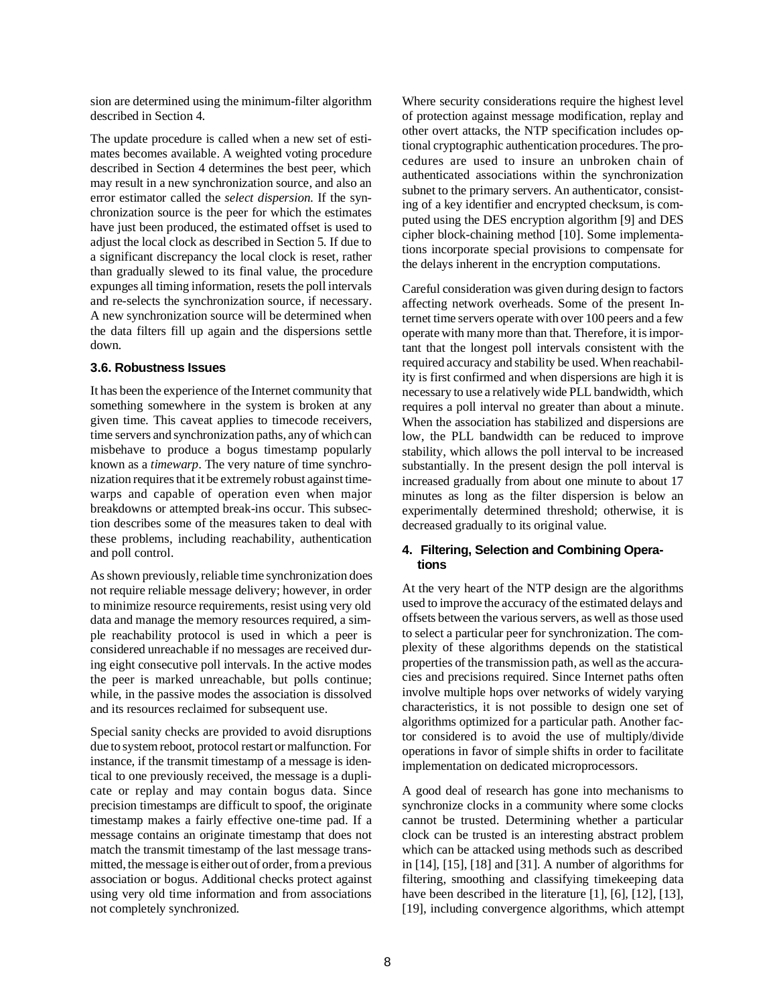sion are determined using the minimum-filter algorithm described in Section 4.

The update procedure is called when a new set of estimates becomes available. A weighted voting procedure described in Section 4 determines the best peer, which may result in a new synchronization source, and also an error estimator called the *select dispersion*. If the synchronization source is the peer for which the estimates have just been produced, the estimated offset is used to adjust the local clock as described in Section 5. If due to a significant discrepancy the local clock is reset, rather than gradually slewed to its final value, the procedure expunges all timing information, resets the poll intervals and re-selects the synchronization source, if necessary. A new synchronization source will be determined when the data filters fill up again and the dispersions settle down.

#### **3.6. Robustness Issues**

It has been the experience of the Internet community that something somewhere in the system is broken at any given time. This caveat applies to timecode receivers, time servers and synchronization paths, any of which can misbehave to produce a bogus timestamp popularly known as a *timewarp*. The very nature of time synchronization requires that it be extremely robust against timewarps and capable of operation even when major breakdowns or attempted break-ins occur. This subsection describes some of the measures taken to deal with these problems, including reachability, authentication and poll control.

As shown previously, reliable time synchronization does not require reliable message delivery; however, in order to minimize resource requirements, resist using very old data and manage the memory resources required, a simple reachability protocol is used in which a peer is considered unreachable if no messages are received during eight consecutive poll intervals. In the active modes the peer is marked unreachable, but polls continue; while, in the passive modes the association is dissolved and its resources reclaimed for subsequent use.

Special sanity checks are provided to avoid disruptions due to system reboot, protocol restart or malfunction. For instance, if the transmit timestamp of a message is identical to one previously received, the message is a duplicate or replay and may contain bogus data. Since precision timestamps are difficult to spoof, the originate timestamp makes a fairly effective one-time pad. If a message contains an originate timestamp that does not match the transmit timestamp of the last message transmitted, the message is either out of order, from a previous association or bogus. Additional checks protect against using very old time information and from associations not completely synchronized.

Where security considerations require the highest level of protection against message modification, replay and other overt attacks, the NTP specification includes optional cryptographic authentication procedures. The procedures are used to insure an unbroken chain of authenticated associations within the synchronization subnet to the primary servers. An authenticator, consisting of a key identifier and encrypted checksum, is computed using the DES encryption algorithm [9] and DES cipher block-chaining method [10]. Some implementations incorporate special provisions to compensate for the delays inherent in the encryption computations.

Careful consideration was given during design to factors affecting network overheads. Some of the present Internet time servers operate with over 100 peers and a few operate with many more than that. Therefore, it is important that the longest poll intervals consistent with the required accuracy and stability be used. When reachability is first confirmed and when dispersions are high it is necessary to use a relatively wide PLL bandwidth, which requires a poll interval no greater than about a minute. When the association has stabilized and dispersions are low, the PLL bandwidth can be reduced to improve stability, which allows the poll interval to be increased substantially. In the present design the poll interval is increased gradually from about one minute to about 17 minutes as long as the filter dispersion is below an experimentally determined threshold; otherwise, it is decreased gradually to its original value.

# **4. Filtering, Selection and Combining Operations**

At the very heart of the NTP design are the algorithms used to improve the accuracy of the estimated delays and offsets between the various servers, as well as those used to select a particular peer for synchronization. The complexity of these algorithms depends on the statistical properties of the transmission path, as well as the accuracies and precisions required. Since Internet paths often involve multiple hops over networks of widely varying characteristics, it is not possible to design one set of algorithms optimized for a particular path. Another factor considered is to avoid the use of multiply/divide operations in favor of simple shifts in order to facilitate implementation on dedicated microprocessors.

A good deal of research has gone into mechanisms to synchronize clocks in a community where some clocks cannot be trusted. Determining whether a particular clock can be trusted is an interesting abstract problem which can be attacked using methods such as described in [14], [15], [18] and [31]. A number of algorithms for filtering, smoothing and classifying timekeeping data have been described in the literature [1], [6], [12], [13], [19], including convergence algorithms, which attempt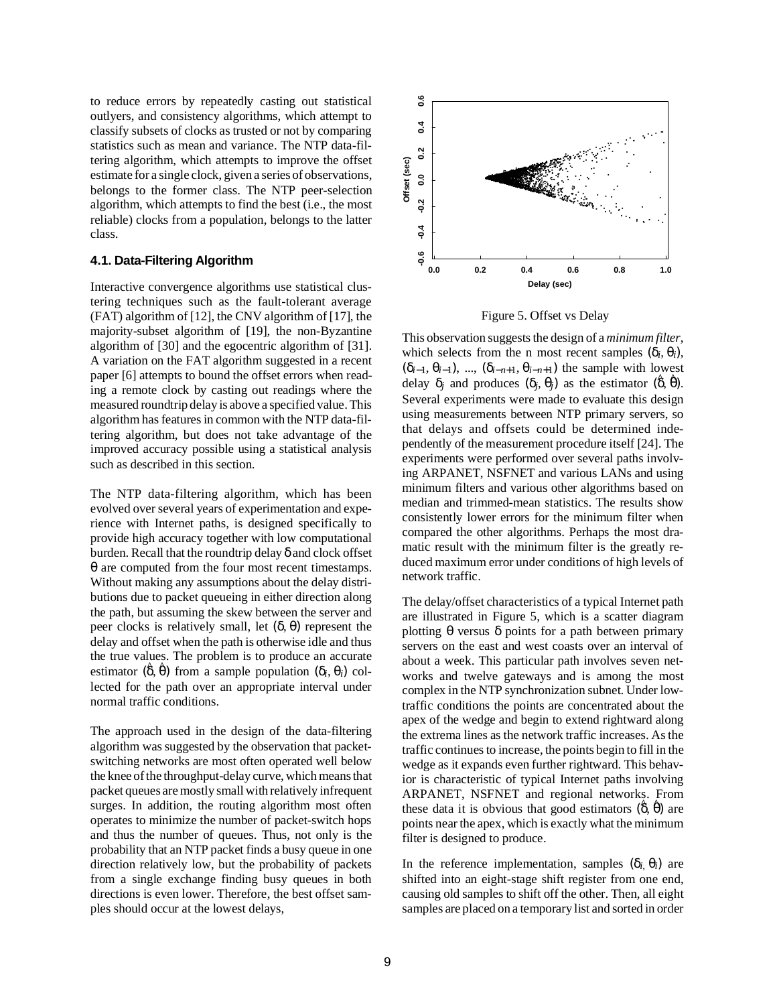to reduce errors by repeatedly casting out statistical outlyers, and consistency algorithms, which attempt to classify subsets of clocks as trusted or not by comparing statistics such as mean and variance. The NTP data-filtering algorithm, which attempts to improve the offset estimate for a single clock, given a series of observations, belongs to the former class. The NTP peer-selection algorithm, which attempts to find the best (i.e., the most reliable) clocks from a population, belongs to the latter class.

#### **4.1. Data-Filtering Algorithm**

Interactive convergence algorithms use statistical clustering techniques such as the fault-tolerant average (FAT) algorithm of [12], the CNV algorithm of [17], the majority-subset algorithm of [19], the non-Byzantine algorithm of [30] and the egocentric algorithm of [31]. A variation on the FAT algorithm suggested in a recent paper [6] attempts to bound the offset errors when reading a remote clock by casting out readings where the measured roundtrip delay is above a specified value. This algorithm has features in common with the NTP data-filtering algorithm, but does not take advantage of the improved accuracy possible using a statistical analysis such as described in this section.

The NTP data-filtering algorithm, which has been evolved over several years of experimentation and experience with Internet paths, is designed specifically to provide high accuracy together with low computational burden. Recall that the roundtrip delay  $\delta$  and clock offset θ are computed from the four most recent timestamps. Without making any assumptions about the delay distributions due to packet queueing in either direction along the path, but assuming the skew between the server and peer clocks is relatively small, let  $(δ, θ)$  represent the delay and offset when the path is otherwise idle and thus the true values. The problem is to produce an accurate estimator  $(\hat{\delta}, \hat{\theta})$  from a sample population  $(\delta_i, \theta_i)$  collected for the path over an appropriate interval under normal traffic conditions.

The approach used in the design of the data-filtering algorithm was suggested by the observation that packetswitching networks are most often operated well below the knee of the throughput-delay curve, which means that packet queues are mostly small with relatively infrequent surges. In addition, the routing algorithm most often operates to minimize the number of packet-switch hops and thus the number of queues. Thus, not only is the probability that an NTP packet finds a busy queue in one direction relatively low, but the probability of packets from a single exchange finding busy queues in both directions is even lower. Therefore, the best offset samples should occur at the lowest delays,



Figure 5. Offset vs Delay

This observation suggests the design of a *minimum filter*, which selects from the n most recent samples  $(\delta_i, \theta_i)$ , (δ*i*−1, θ*i*−1), ..., (δ*i*−*n*+1, θ*i*−*n*+1) the sample with lowest delay  $\delta_j$  and produces  $(\delta_j, \theta_j)$  as the estimator  $(\delta, \theta)$ . Several experiments were made to evaluate this design using measurements between NTP primary servers, so that delays and offsets could be determined independently of the measurement procedure itself [24]. The experiments were performed over several paths involving ARPANET, NSFNET and various LANs and using minimum filters and various other algorithms based on median and trimmed-mean statistics. The results show consistently lower errors for the minimum filter when compared the other algorithms. Perhaps the most dramatic result with the minimum filter is the greatly reduced maximum error under conditions of high levels of network traffic.

The delay/offset characteristics of a typical Internet path are illustrated in Figure 5, which is a scatter diagram plotting θ versus δ points for a path between primary servers on the east and west coasts over an interval of about a week. This particular path involves seven networks and twelve gateways and is among the most complex in the NTP synchronization subnet. Under lowtraffic conditions the points are concentrated about the apex of the wedge and begin to extend rightward along the extrema lines as the network traffic increases. As the traffic continues to increase, the points begin to fill in the wedge as it expands even further rightward. This behavior is characteristic of typical Internet paths involving ARPANET, NSFNET and regional networks. From these data it is obvious that good estimators  $(\delta, \theta)$  are points near the apex, which is exactly what the minimum filter is designed to produce.

In the reference implementation, samples  $(\delta_i, \theta_i)$  are shifted into an eight-stage shift register from one end, causing old samples to shift off the other. Then, all eight samples are placed on a temporary list and sorted in order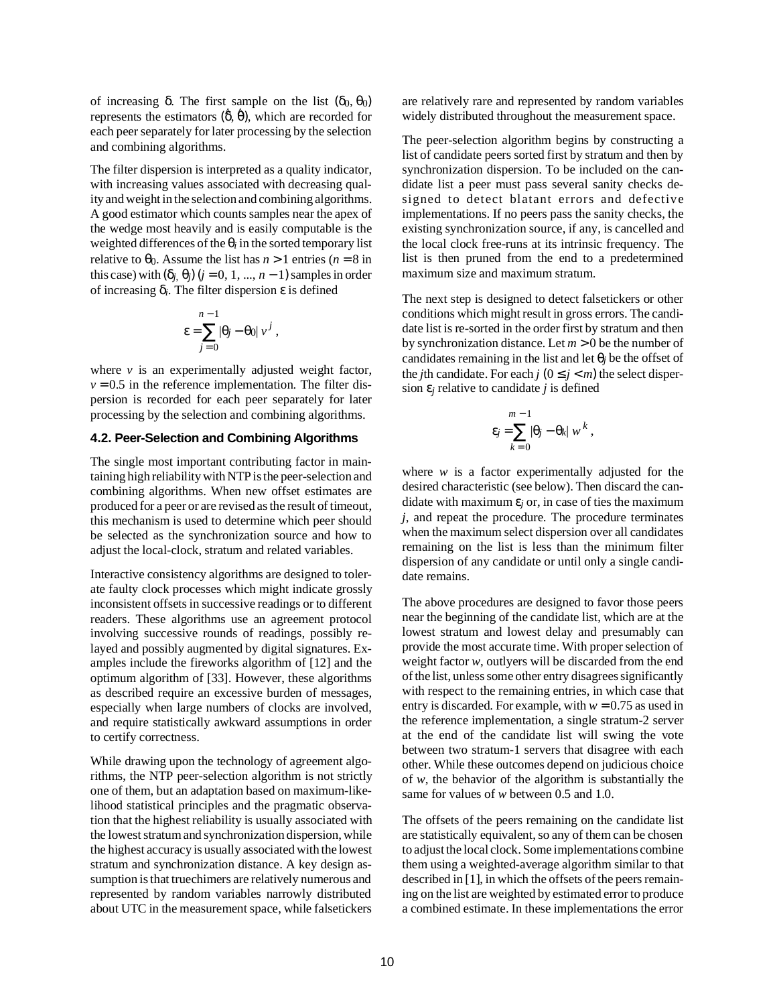of increasing δ. The first sample on the list  $(δ<sub>0</sub>, θ<sub>0</sub>)$ represents the estimators  $(\hat{\delta}, \hat{\theta})$ , which are recorded for each peer separately for later processing by the selection and combining algorithms.

The filter dispersion is interpreted as a quality indicator, with increasing values associated with decreasing quality and weight in the selection and combining algorithms. A good estimator which counts samples near the apex of the wedge most heavily and is easily computable is the weighted differences of the  $\theta_i$  in the sorted temporary list relative to  $\theta_0$ . Assume the list has  $n > 1$  entries ( $n = 8$  in this case) with  $(\delta_i, \theta_i)$  ( $j = 0, 1, ..., n - 1$ ) samples in order of increasing δ*i*. The filter dispersion ε is defined

$$
\varepsilon = \sum_{j=0}^{n-1} |\theta_j - \theta_0| v^j,
$$

where  $\nu$  is an experimentally adjusted weight factor,  $v = 0.5$  in the reference implementation. The filter dispersion is recorded for each peer separately for later processing by the selection and combining algorithms.

# **4.2. Peer-Selection and Combining Algorithms**

The single most important contributing factor in maintaining high reliability with NTP is the peer-selection and combining algorithms. When new offset estimates are produced for a peer or are revised as the result of timeout, this mechanism is used to determine which peer should be selected as the synchronization source and how to adjust the local-clock, stratum and related variables.

Interactive consistency algorithms are designed to tolerate faulty clock processes which might indicate grossly inconsistent offsets in successive readings or to different readers. These algorithms use an agreement protocol involving successive rounds of readings, possibly relayed and possibly augmented by digital signatures. Examples include the fireworks algorithm of [12] and the optimum algorithm of [33]. However, these algorithms as described require an excessive burden of messages, especially when large numbers of clocks are involved, and require statistically awkward assumptions in order to certify correctness.

While drawing upon the technology of agreement algorithms, the NTP peer-selection algorithm is not strictly one of them, but an adaptation based on maximum-likelihood statistical principles and the pragmatic observation that the highest reliability is usually associated with the lowest stratum and synchronization dispersion, while the highest accuracy is usually associated with the lowest stratum and synchronization distance. A key design assumption is that truechimers are relatively numerous and represented by random variables narrowly distributed about UTC in the measurement space, while falsetickers are relatively rare and represented by random variables widely distributed throughout the measurement space.

The peer-selection algorithm begins by constructing a list of candidate peers sorted first by stratum and then by synchronization dispersion. To be included on the candidate list a peer must pass several sanity checks designed to detect blatant errors and defective implementations. If no peers pass the sanity checks, the existing synchronization source, if any, is cancelled and the local clock free-runs at its intrinsic frequency. The list is then pruned from the end to a predetermined maximum size and maximum stratum.

The next step is designed to detect falsetickers or other conditions which might result in gross errors. The candidate list is re-sorted in the order first by stratum and then by synchronization distance. Let *m* > 0 be the number of candidates remaining in the list and let  $\theta$ *j* be the offset of the *j*th candidate. For each *j*  $(0 \le j \le m)$  the select dispersion ε*j* relative to candidate *j* is defined

$$
\varepsilon_j = \sum_{k=0}^{m-1} |\theta_j - \theta_k| w^k,
$$

where *w* is a factor experimentally adjusted for the desired characteristic (see below). Then discard the candidate with maximum  $\varepsilon_j$  or, in case of ties the maximum *j*, and repeat the procedure. The procedure terminates when the maximum select dispersion over all candidates remaining on the list is less than the minimum filter dispersion of any candidate or until only a single candidate remains.

The above procedures are designed to favor those peers near the beginning of the candidate list, which are at the lowest stratum and lowest delay and presumably can provide the most accurate time. With proper selection of weight factor *w*, outlyers will be discarded from the end of the list, unless some other entry disagrees significantly with respect to the remaining entries, in which case that entry is discarded. For example, with  $w = 0.75$  as used in the reference implementation, a single stratum-2 server at the end of the candidate list will swing the vote between two stratum-1 servers that disagree with each other. While these outcomes depend on judicious choice of *w*, the behavior of the algorithm is substantially the same for values of *w* between 0.5 and 1.0.

The offsets of the peers remaining on the candidate list are statistically equivalent, so any of them can be chosen to adjust the local clock. Some implementations combine them using a weighted-average algorithm similar to that described in [1], in which the offsets of the peers remaining on the list are weighted by estimated error to produce a combined estimate. In these implementations the error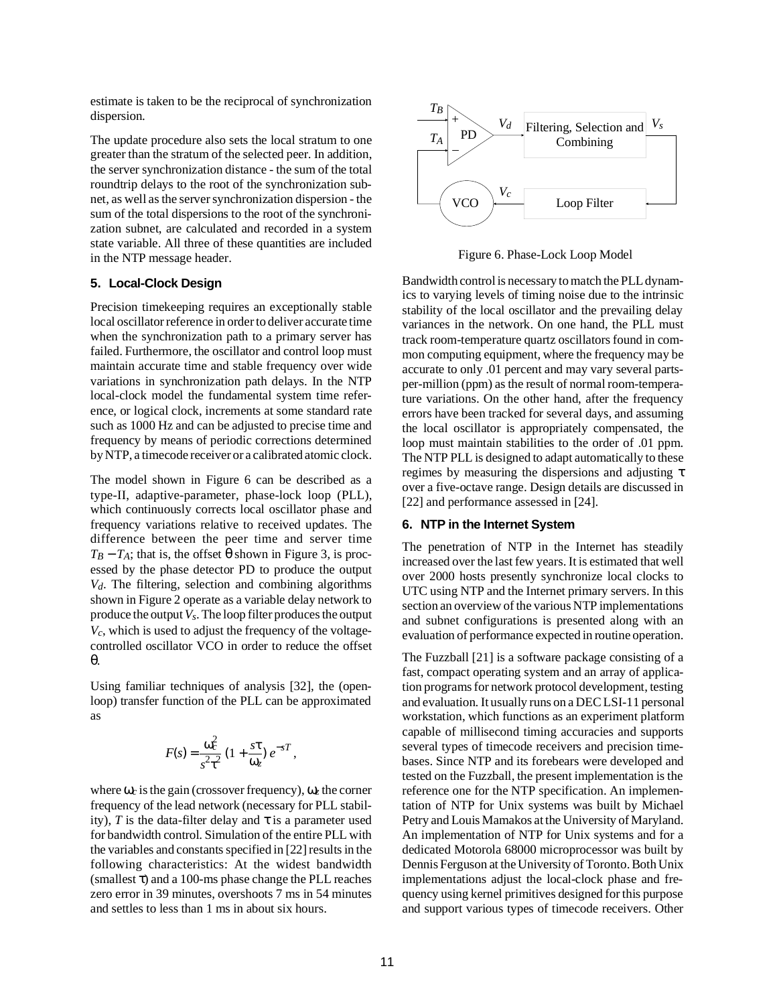estimate is taken to be the reciprocal of synchronization dispersion.

The update procedure also sets the local stratum to one greater than the stratum of the selected peer. In addition, the server synchronization distance - the sum of the total roundtrip delays to the root of the synchronization subnet, as well as the server synchronization dispersion - the sum of the total dispersions to the root of the synchronization subnet, are calculated and recorded in a system state variable. All three of these quantities are included in the NTP message header.

#### **5. Local-Clock Design**

Precision timekeeping requires an exceptionally stable local oscillator reference in order to deliver accurate time when the synchronization path to a primary server has failed. Furthermore, the oscillator and control loop must maintain accurate time and stable frequency over wide variations in synchronization path delays. In the NTP local-clock model the fundamental system time reference, or logical clock, increments at some standard rate such as 1000 Hz and can be adjusted to precise time and frequency by means of periodic corrections determined by NTP, a timecode receiver or a calibrated atomic clock.

The model shown in Figure 6 can be described as a type-II, adaptive-parameter, phase-lock loop (PLL), which continuously corrects local oscillator phase and frequency variations relative to received updates. The difference between the peer time and server time  $T_B - T_A$ ; that is, the offset  $\theta$  shown in Figure 3, is processed by the phase detector PD to produce the output *Vd*. The filtering, selection and combining algorithms shown in Figure 2 operate as a variable delay network to produce the output *Vs*. The loop filter produces the output *Vc*, which is used to adjust the frequency of the voltagecontrolled oscillator VCO in order to reduce the offset θ.

Using familiar techniques of analysis [32], the (openloop) transfer function of the PLL can be approximated as

$$
F(s) = \frac{\omega_c^2}{s^2 \tau^2} \left(1 + \frac{s \tau}{\omega_z}\right) e^{-sT},
$$

where  $\omega_c$  is the gain (crossover frequency),  $\omega_z$  the corner frequency of the lead network (necessary for PLL stability), *T* is the data-filter delay and  $\tau$  is a parameter used for bandwidth control. Simulation of the entire PLL with the variables and constants specified in [22] results in the following characteristics: At the widest bandwidth (smallest τ) and a 100-ms phase change the PLL reaches zero error in 39 minutes, overshoots 7 ms in 54 minutes and settles to less than 1 ms in about six hours.



Figure 6. Phase-Lock Loop Model

Bandwidth control is necessary to match the PLL dynamics to varying levels of timing noise due to the intrinsic stability of the local oscillator and the prevailing delay variances in the network. On one hand, the PLL must track room-temperature quartz oscillators found in common computing equipment, where the frequency may be accurate to only .01 percent and may vary several partsper-million (ppm) as the result of normal room-temperature variations. On the other hand, after the frequency errors have been tracked for several days, and assuming the local oscillator is appropriately compensated, the loop must maintain stabilities to the order of .01 ppm. The NTP PLL is designed to adapt automatically to these regimes by measuring the dispersions and adjusting  $τ$ over a five-octave range. Design details are discussed in [22] and performance assessed in [24].

## **6. NTP in the Internet System**

The penetration of NTP in the Internet has steadily increased over the last few years. It is estimated that well over 2000 hosts presently synchronize local clocks to UTC using NTP and the Internet primary servers. In this section an overview of the various NTP implementations and subnet configurations is presented along with an evaluation of performance expected in routine operation.

The Fuzzball [21] is a software package consisting of a fast, compact operating system and an array of application programs for network protocol development, testing and evaluation. It usually runs on a DEC LSI-11 personal workstation, which functions as an experiment platform capable of millisecond timing accuracies and supports several types of timecode receivers and precision timebases. Since NTP and its forebears were developed and tested on the Fuzzball, the present implementation is the reference one for the NTP specification. An implementation of NTP for Unix systems was built by Michael Petry and Louis Mamakos at the University of Maryland. An implementation of NTP for Unix systems and for a dedicated Motorola 68000 microprocessor was built by Dennis Ferguson at the University of Toronto. Both Unix implementations adjust the local-clock phase and frequency using kernel primitives designed for this purpose and support various types of timecode receivers. Other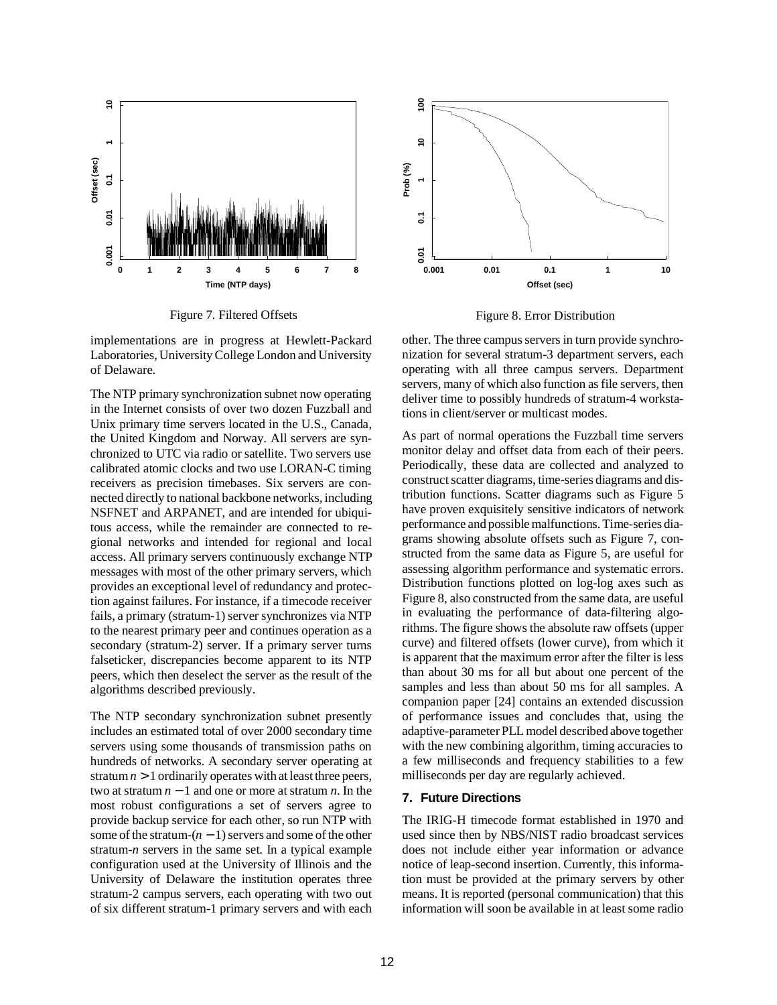

Figure 7. Filtered Offsets

implementations are in progress at Hewlett-Packard Laboratories, University College London and University of Delaware.

The NTP primary synchronization subnet now operating in the Internet consists of over two dozen Fuzzball and Unix primary time servers located in the U.S., Canada, the United Kingdom and Norway. All servers are synchronized to UTC via radio or satellite. Two servers use calibrated atomic clocks and two use LORAN-C timing receivers as precision timebases. Six servers are connected directly to national backbone networks, including NSFNET and ARPANET, and are intended for ubiquitous access, while the remainder are connected to regional networks and intended for regional and local access. All primary servers continuously exchange NTP messages with most of the other primary servers, which provides an exceptional level of redundancy and protection against failures. For instance, if a timecode receiver fails, a primary (stratum-1) server synchronizes via NTP to the nearest primary peer and continues operation as a secondary (stratum-2) server. If a primary server turns falseticker, discrepancies become apparent to its NTP peers, which then deselect the server as the result of the algorithms described previously.

The NTP secondary synchronization subnet presently includes an estimated total of over 2000 secondary time servers using some thousands of transmission paths on hundreds of networks. A secondary server operating at stratum  $n > 1$  ordinarily operates with at least three peers, two at stratum *n* − 1 and one or more at stratum *n*. In the most robust configurations a set of servers agree to provide backup service for each other, so run NTP with some of the stratum- $(n - 1)$  servers and some of the other stratum-*n* servers in the same set. In a typical example configuration used at the University of Illinois and the University of Delaware the institution operates three stratum-2 campus servers, each operating with two out of six different stratum-1 primary servers and with each



Figure 8. Error Distribution

other. The three campus servers in turn provide synchronization for several stratum-3 department servers, each operating with all three campus servers. Department servers, many of which also function as file servers, then deliver time to possibly hundreds of stratum-4 workstations in client/server or multicast modes.

As part of normal operations the Fuzzball time servers monitor delay and offset data from each of their peers. Periodically, these data are collected and analyzed to construct scatter diagrams, time-series diagrams and distribution functions. Scatter diagrams such as Figure 5 have proven exquisitely sensitive indicators of network performance and possible malfunctions. Time-series diagrams showing absolute offsets such as Figure 7, constructed from the same data as Figure 5, are useful for assessing algorithm performance and systematic errors. Distribution functions plotted on log-log axes such as Figure 8, also constructed from the same data, are useful in evaluating the performance of data-filtering algorithms. The figure shows the absolute raw offsets (upper curve) and filtered offsets (lower curve), from which it is apparent that the maximum error after the filter is less than about 30 ms for all but about one percent of the samples and less than about 50 ms for all samples. A companion paper [24] contains an extended discussion of performance issues and concludes that, using the adaptive-parameter PLL model described above together with the new combining algorithm, timing accuracies to a few milliseconds and frequency stabilities to a few milliseconds per day are regularly achieved.

# **7. Future Directions**

The IRIG-H timecode format established in 1970 and used since then by NBS/NIST radio broadcast services does not include either year information or advance notice of leap-second insertion. Currently, this information must be provided at the primary servers by other means. It is reported (personal communication) that this information will soon be available in at least some radio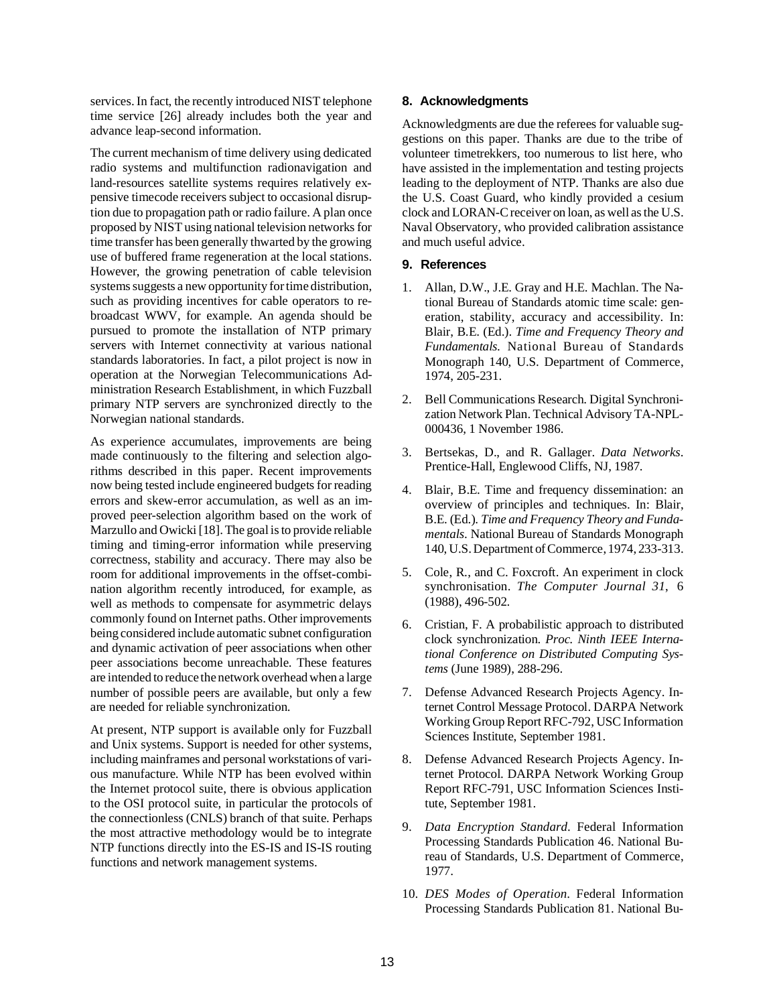services. In fact, the recently introduced NIST telephone time service [26] already includes both the year and advance leap-second information.

The current mechanism of time delivery using dedicated radio systems and multifunction radionavigation and land-resources satellite systems requires relatively expensive timecode receivers subject to occasional disruption due to propagation path or radio failure. A plan once proposed by NIST using national television networks for time transfer has been generally thwarted by the growing use of buffered frame regeneration at the local stations. However, the growing penetration of cable television systems suggests a new opportunity for time distribution, such as providing incentives for cable operators to rebroadcast WWV, for example. An agenda should be pursued to promote the installation of NTP primary servers with Internet connectivity at various national standards laboratories. In fact, a pilot project is now in operation at the Norwegian Telecommunications Administration Research Establishment, in which Fuzzball primary NTP servers are synchronized directly to the Norwegian national standards.

As experience accumulates, improvements are being made continuously to the filtering and selection algorithms described in this paper. Recent improvements now being tested include engineered budgets for reading errors and skew-error accumulation, as well as an improved peer-selection algorithm based on the work of Marzullo and Owicki [18]. The goal is to provide reliable timing and timing-error information while preserving correctness, stability and accuracy. There may also be room for additional improvements in the offset-combination algorithm recently introduced, for example, as well as methods to compensate for asymmetric delays commonly found on Internet paths. Other improvements being considered include automatic subnet configuration and dynamic activation of peer associations when other peer associations become unreachable. These features are intended to reduce the network overhead when a large number of possible peers are available, but only a few are needed for reliable synchronization.

At present, NTP support is available only for Fuzzball and Unix systems. Support is needed for other systems, including mainframes and personal workstations of various manufacture. While NTP has been evolved within the Internet protocol suite, there is obvious application to the OSI protocol suite, in particular the protocols of the connectionless (CNLS) branch of that suite. Perhaps the most attractive methodology would be to integrate NTP functions directly into the ES-IS and IS-IS routing functions and network management systems.

## **8. Acknowledgments**

Acknowledgments are due the referees for valuable suggestions on this paper. Thanks are due to the tribe of volunteer timetrekkers, too numerous to list here, who have assisted in the implementation and testing projects leading to the deployment of NTP. Thanks are also due the U.S. Coast Guard, who kindly provided a cesium clock and LORAN-C receiver on loan, as well as the U.S. Naval Observatory, who provided calibration assistance and much useful advice.

## **9. References**

- 1. Allan, D.W., J.E. Gray and H.E. Machlan. The National Bureau of Standards atomic time scale: generation, stability, accuracy and accessibility. In: Blair, B.E. (Ed.). *Time and Frequency Theory and Fundamentals*. National Bureau of Standards Monograph 140, U.S. Department of Commerce, 1974, 205-231.
- 2. Bell Communications Research. Digital Synchronization Network Plan. Technical Advisory TA-NPL-000436, 1 November 1986.
- 3. Bertsekas, D., and R. Gallager. *Data Networks*. Prentice-Hall, Englewood Cliffs, NJ, 1987.
- 4. Blair, B.E. Time and frequency dissemination: an overview of principles and techniques. In: Blair, B.E. (Ed.). *Time and Frequency Theory and Fundamentals*. National Bureau of Standards Monograph 140, U.S. Department of Commerce, 1974, 233-313.
- 5. Cole, R., and C. Foxcroft. An experiment in clock synchronisation. *The Computer Journal 31*, 6 (1988), 496-502.
- 6. Cristian, F. A probabilistic approach to distributed clock synchronization. *Proc. Ninth IEEE International Conference on Distributed Computing Systems* (June 1989), 288-296.
- 7. Defense Advanced Research Projects Agency. Internet Control Message Protocol. DARPA Network Working Group Report RFC-792, USC Information Sciences Institute, September 1981.
- 8. Defense Advanced Research Projects Agency. Internet Protocol. DARPA Network Working Group Report RFC-791, USC Information Sciences Institute, September 1981.
- 9. *Data Encryption Standard*. Federal Information Processing Standards Publication 46. National Bureau of Standards, U.S. Department of Commerce, 1977.
- 10. *DES Modes of Operation*. Federal Information Processing Standards Publication 81. National Bu-